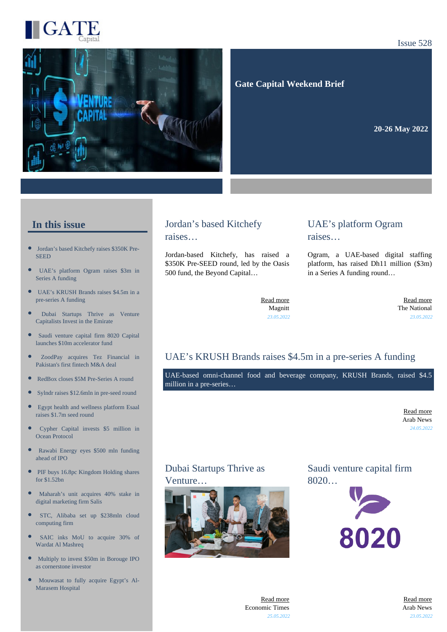

#### Issue 528



 **Gate Capital Weekend Brief**

**20-26 May 2022** 

#### **In this issue**

- $\bullet$ [Jordan's based Kitchefy raises \\$350K Pre-](https://gatecapital.net/back_office/newsletters/tracking/5969/670)**[SEED](https://gatecapital.net/back_office/newsletters/tracking/5969/670)**
- [UAE's platform Ogram raises \\$3m in](https://gatecapital.net/back_office/newsletters/tracking/5971/670) [Series A funding](https://gatecapital.net/back_office/newsletters/tracking/5971/670)
- $\bullet$ [UAE's KRUSH Brands raises \\$4.5m in a](https://gatecapital.net/back_office/newsletters/tracking/5978/670) [pre-series A funding](https://gatecapital.net/back_office/newsletters/tracking/5978/670)
- [Dubai Startups Thrive as Venture](https://gatecapital.net/back_office/newsletters/tracking/5981/670) [Capitalists Invest in the Emirate](https://gatecapital.net/back_office/newsletters/tracking/5981/670)
- $\bullet$ [Saudi venture capital firm 8020 Capital](https://gatecapital.net/back_office/newsletters/tracking/5972/670) [launches \\$10m accelerator fund](https://gatecapital.net/back_office/newsletters/tracking/5972/670)
- [ZoodPay acquires Tez Financial in](https://gatecapital.net/back_office/newsletters/tracking/5976/670) [Pakistan's first fintech M&A deal](https://gatecapital.net/back_office/newsletters/tracking/5976/670)
- [RedBox closes \\$5M Pre-Series A round](https://gatecapital.net/back_office/newsletters/tracking/5979/670)
- [Sylndr raises \\$12.6mln in pre-seed round](https://gatecapital.net/back_office/newsletters/tracking/5977/670)
- $\bullet$ [Egypt health and wellness platform Esaal](https://gatecapital.net/back_office/newsletters/tracking/5980/670) [raises \\$1.7m seed round](https://gatecapital.net/back_office/newsletters/tracking/5980/670)
- [Cypher Capital invests \\$5 million in](https://gatecapital.net/back_office/newsletters/tracking/5982/670) [Ocean Protocol](https://gatecapital.net/back_office/newsletters/tracking/5982/670)
- [Rawabi Energy eyes \\$500 mln funding](https://gatecapital.net/back_office/newsletters/tracking/5973/670) [ahead of IPO](https://gatecapital.net/back_office/newsletters/tracking/5973/670)
- $\bullet$ [PIF buys 16.8pc Kingdom Holding shares](https://gatecapital.net/back_office/newsletters/tracking/5970/670) [for \\$1.52bn](https://gatecapital.net/back_office/newsletters/tracking/5970/670)
- [Maharah's unit acquires 40% stake in](https://gatecapital.net/back_office/newsletters/tracking/5986/670) [digital marketing firm Salis](https://gatecapital.net/back_office/newsletters/tracking/5986/670)
- $\bullet$ [STC, Alibaba set up \\$238mln cloud](https://gatecapital.net/back_office/newsletters/tracking/5985/670) [computing firm](https://gatecapital.net/back_office/newsletters/tracking/5985/670)
- [SAIC inks MoU to acquire 30% of](https://gatecapital.net/back_office/newsletters/tracking/5975/670)  $\bullet$ [Wardat Al Mashreq](https://gatecapital.net/back_office/newsletters/tracking/5975/670)
- $\bullet$ [Multiply to invest \\$50m in Borouge IPO](https://gatecapital.net/back_office/newsletters/tracking/5983/670) [as cornerstone investor](https://gatecapital.net/back_office/newsletters/tracking/5983/670)
- [Mouwasat to fully acquire Egypt's Al-](https://gatecapital.net/back_office/newsletters/tracking/5967/670)[Marasem Hospital](https://gatecapital.net/back_office/newsletters/tracking/5967/670)

#### Jordan's based Kitchefy raises…

Jordan-based Kitchefy, has raised a \$350K Pre-SEED round, led by the Oasis 500 fund, the Beyond Capital…

#### UAE's platform Ogram raises…

Ogram, a UAE-based digital staffing platform, has raised Dh11 million (\$3m) in a Series A funding round…

[Read more](https://gatecapital.net/back_office/newsletters/tracking/5969/670) Magnitt *23.05.2022*

[Read more](https://gatecapital.net/back_office/newsletters/tracking/5971/670) The National *23.05.2022*

#### UAE's KRUSH Brands raises \$4.5m in a pre-series A funding

UAE-based omni-channel food and beverage company, KRUSH Brands, raised \$4.5 million in a pre-series…

> [Read more](https://gatecapital.net/back_office/newsletters/tracking/5978/670) Arab News *24.05.2022*

#### Dubai Startups Thrive as Venture…



Saudi venture capital firm 8020…



[Read more](https://gatecapital.net/back_office/newsletters/tracking/5981/670) Economic Times *25.05.2022*

[Read more](https://gatecapital.net/back_office/newsletters/tracking/5972/670) Arab News *23.05.2022*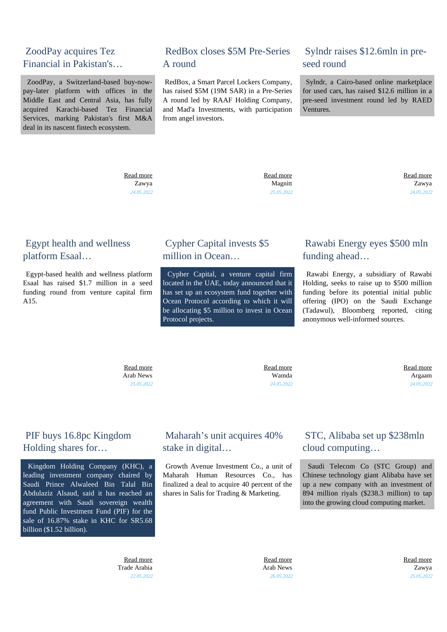## ZoodPay acquires Tez Financial in Pakistan's…

 ZoodPay, a Switzerland-based buy-nowpay-later platform with offices in the Middle East and Central Asia, has fully acquired Karachi-based Tez Financial Services, marking Pakistan's first M&A deal in its nascent fintech ecosystem.

## RedBox closes \$5M Pre-Series A round

 RedBox, a Smart Parcel Lockers Company, has raised \$5M (19M SAR) in a Pre-Series A round led by RAAF Holding Company, and Mad'a Investments, with participation from angel investors.

## Sylndr raises \$12.6mln in preseed round

 Sylndr, a Cairo-based online marketplace for used cars, has raised \$12.6 million in a pre-seed investment round led by RAED Ventures.

 [Read more](https://gatecapital.net/back_office/newsletters/tracking/5976/670) Zawya *24.05.2022*  [Read more](https://gatecapital.net/back_office/newsletters/tracking/5979/670) Magnitt *25.05.2022*  [Read more](https://gatecapital.net/back_office/newsletters/tracking/5977/670) Zawya *24.05.2022*

#### Egypt health and wellness platform Esaal…

 Egypt-based health and wellness platform Esaal has raised \$1.7 million in a seed funding round from venture capital firm A15.

## Cypher Capital invests \$5 million in Ocean

 Cypher Capital, a venture capital firm located in the UAE, today announced that it has set up an ecosystem fund together with Ocean Protocol according to which it will be allocating \$5 million to invest in Ocean Protocol projects.

## Rawabi Energy eyes \$500 mln funding ahead…

 Rawabi Energy, a subsidiary of Rawabi Holding, seeks to raise up to \$500 million funding before its potential initial public offering (IPO) on the Saudi Exchange (Tadawul), Bloomberg reported, citing anonymous well-informed sources.

 [Read more](https://gatecapital.net/back_office/newsletters/tracking/5980/670) Arab News *25.05.2022*

 [Read more](https://gatecapital.net/back_office/newsletters/tracking/5982/670) Wamda *24.05.2022*  [Read more](https://gatecapital.net/back_office/newsletters/tracking/5973/670) Argaam *24.05.2022*

## PIF buys 16.8pc Kingdom Holding shares for…

 Kingdom Holding Company (KHC), a leading investment company chaired by Saudi Prince Alwaleed Bin Talal Bin Abdulaziz Alsaud, said it has reached an agreement with Saudi sovereign wealth fund Public Investment Fund (PIF) for the sale of 16.87% stake in KHC for SR5.68 billion (\$1.52 billion).

> [Read more](https://gatecapital.net/back_office/newsletters/tracking/5970/670) Trade Arabia *22.05.2022*

## Maharah's unit acquires 40% stake in digital…

 Growth Avenue Investment Co., a unit of Maharah Human Resources Co., has finalized a deal to acquire 40 percent of the shares in Salis for Trading & Marketing.

## STC, Alibaba set up \$238mln cloud computing…

 Saudi Telecom Co (STC Group) and Chinese technology giant Alibaba have set up a new company with an investment of 894 million riyals (\$238.3 million) to tap into the growing cloud computing market.

 [Read more](https://gatecapital.net/back_office/newsletters/tracking/5986/670) Arab News *26.05.2022*  [Read more](https://gatecapital.net/back_office/newsletters/tracking/5985/670) Zawya *25.05.2022*